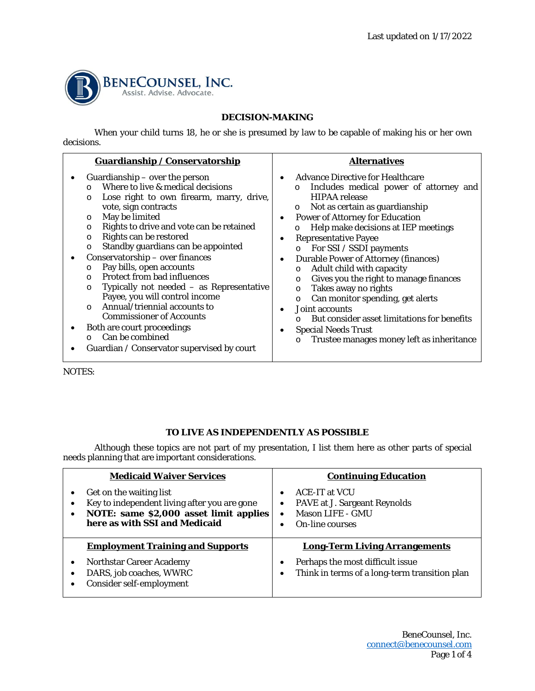

## **DECISION-MAKING**

When your child turns 18, he or she is presumed by law to be capable of making his or her own decisions.

| Guardianship / Conservatorship                                                                                                                                                                                                                                                                                                                                                                                                                                                                                                                                                                                                                                                                                                | <b>Alternatives</b>                                                                                                                                                                                                                                                                                                                                                                                                                                                                                                                                                                                                                                                                                                            |
|-------------------------------------------------------------------------------------------------------------------------------------------------------------------------------------------------------------------------------------------------------------------------------------------------------------------------------------------------------------------------------------------------------------------------------------------------------------------------------------------------------------------------------------------------------------------------------------------------------------------------------------------------------------------------------------------------------------------------------|--------------------------------------------------------------------------------------------------------------------------------------------------------------------------------------------------------------------------------------------------------------------------------------------------------------------------------------------------------------------------------------------------------------------------------------------------------------------------------------------------------------------------------------------------------------------------------------------------------------------------------------------------------------------------------------------------------------------------------|
| Guardianship $-$ over the person<br>Where to live & medical decisions<br>$\Omega$<br>Lose right to own firearm, marry, drive,<br>$\circ$<br>vote, sign contracts<br>May be limited<br>$\circ$<br>Rights to drive and vote can be retained<br>O<br>Rights can be restored<br>O<br>Standby guardians can be appointed<br>$\circ$<br>Conservatorship - over finances<br>Pay bills, open accounts<br>O<br><b>Protect from bad influences</b><br>$\Omega$<br>Typically not needed $-$ as Representative<br>$\circ$<br>Payee, you will control income<br>Annual/triennial accounts to<br>$\Omega$<br><b>Commissioner of Accounts</b><br>Both are court proceedings<br>Can be combined<br>Guardian / Conservator supervised by court | <b>Advance Directive for Healthcare</b><br>Includes medical power of attorney and<br>$\circ$<br><b>HIPAA</b> release<br>Not as certain as guardianship<br>$\circ$<br><b>Power of Attorney for Education</b><br>Help make decisions at IEP meetings<br>O<br><b>Representative Payee</b><br>For SSI / SSDI payments<br>$\circ$<br><b>Durable Power of Attorney (finances)</b><br>$\bullet$<br>Adult child with capacity<br>$\circ$<br>Gives you the right to manage finances<br>$\circ$<br>Takes away no rights<br>$\circ$<br>Can monitor spending, get alerts<br>$\circ$<br>Joint accounts<br>But consider asset limitations for benefits<br><b>Special Needs Trust</b><br>Trustee manages money left as inheritance<br>$\circ$ |

NOTES:

## **TO LIVE AS INDEPENDENTLY AS POSSIBLE**

Although these topics are not part of my presentation, I list them here as other parts of special needs planning that are important considerations.

| <b>Medicaid Waiver Services</b>                                                                                                                    | <b>Continuing Education</b>                                                                                    |
|----------------------------------------------------------------------------------------------------------------------------------------------------|----------------------------------------------------------------------------------------------------------------|
| Get on the waiting list<br>Key to independent living after you are gone<br>NOTE: same \$2,000 asset limit applies<br>here as with SSI and Medicaid | <b>ACE-IT at VCU</b><br>PAVE at J. Sargeant Reynolds<br>٠<br><b>Mason LIFE - GMU</b><br><b>On-line courses</b> |
| <b>Employment Training and Supports</b>                                                                                                            | <b>Long-Term Living Arrangements</b>                                                                           |
| <b>Northstar Career Academy</b><br>DARS, job coaches, WWRC<br>Consider self-employment                                                             | Perhaps the most difficult issue<br>Think in terms of a long-term transition plan<br>٠                         |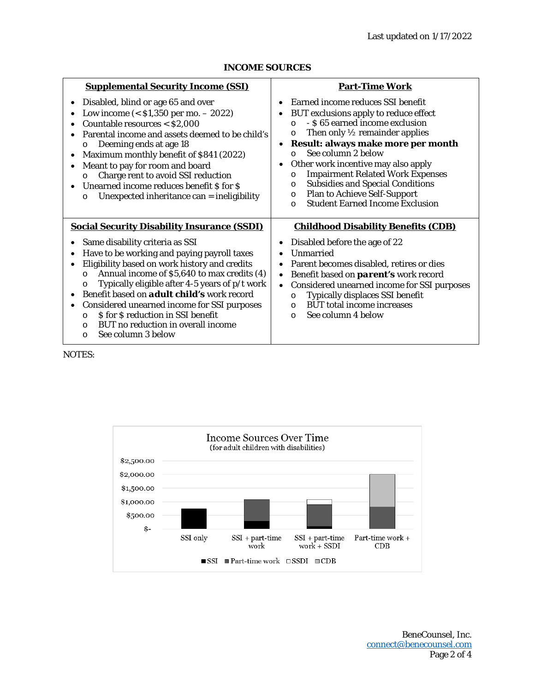| <b>Supplemental Security Income (SSI)</b>                                                                                                                                                                                                                                                                                                                                                                                                                                                                                                                          | <b>Part-Time Work</b>                                                                                                                                                                                                                                                                                                                                                                                                                                                                                               |
|--------------------------------------------------------------------------------------------------------------------------------------------------------------------------------------------------------------------------------------------------------------------------------------------------------------------------------------------------------------------------------------------------------------------------------------------------------------------------------------------------------------------------------------------------------------------|---------------------------------------------------------------------------------------------------------------------------------------------------------------------------------------------------------------------------------------------------------------------------------------------------------------------------------------------------------------------------------------------------------------------------------------------------------------------------------------------------------------------|
| Disabled, blind or age 65 and over<br>Low income $(<$ \$1,350 per mo. $-$ 2022)<br>Countable resources < \$2,000<br>Parental income and assets deemed to be child's<br>Deeming ends at age 18<br>$\circ$<br>Maximum monthly benefit of \$841 (2022)<br>Meant to pay for room and board<br>Charge rent to avoid SSI reduction<br>$\circ$<br>Unearned income reduces benefit \$ for \$<br>Unexpected inheritance can = ineligibility<br>$\circ$                                                                                                                      | Earned income reduces SSI benefit<br>BUT exclusions apply to reduce effect<br>- \$65 earned income exclusion<br>$\Omega$<br>Then only $\frac{1}{2}$ remainder applies<br>$\circ$<br>Result: always make more per month<br>See column 2 below<br>$\Omega$<br>Other work incentive may also apply<br><b>Impairment Related Work Expenses</b><br>$\circ$<br><b>Subsidies and Special Conditions</b><br>$\circ$<br><b>Plan to Achieve Self-Support</b><br>$\circ$<br><b>Student Earned Income Exclusion</b><br>$\Omega$ |
| <b>Social Security Disability Insurance (SSDI)</b><br>Same disability criteria as SSI<br>Have to be working and paying payroll taxes<br>Eligibility based on work history and credits<br>$\bullet$<br>Annual income of \$5,640 to max credits (4)<br>$\circ$<br>Typically eligible after 4-5 years of p/t work<br>$\circ$<br>Benefit based on <b>adult child's</b> work record<br>Considered unearned income for SSI purposes<br>\$ for \$ reduction in SSI benefit<br>$\Omega$<br>BUT no reduction in overall income<br>$\Omega$<br>See column 3 below<br>$\circ$ | <b>Childhood Disability Benefits (CDB)</b><br>Disabled before the age of 22<br>Unmarried<br>Parent becomes disabled, retires or dies<br>Benefit based on <i>parent's</i> work record<br>Considered unearned income for SSI purposes<br>$\bullet$<br>Typically displaces SSI benefit<br>$\circ$<br><b>BUT</b> total income increases<br>$\Omega$<br>See column 4 below<br>$\Omega$                                                                                                                                   |

#### **INCOME SOURCES**

NOTES:

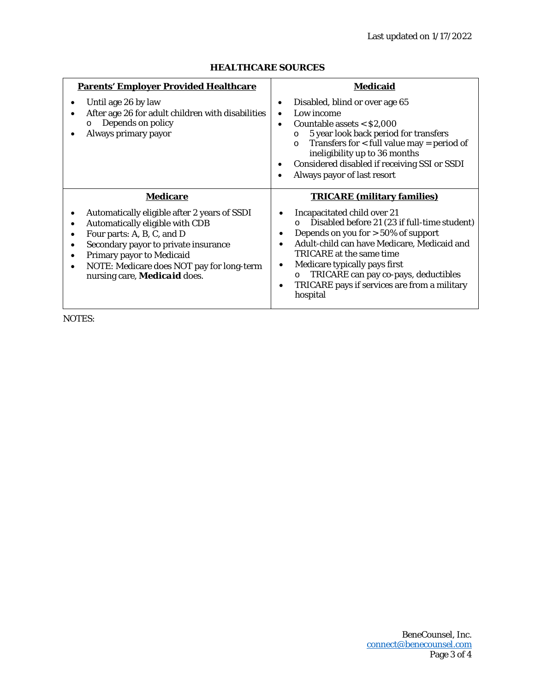| <b>Parents' Employer Provided Healthcare</b>                                                                                                                                                                                                                                                                                    | <b>Medicaid</b>                                                                                                                                                                                                                                                                                                                                                                             |
|---------------------------------------------------------------------------------------------------------------------------------------------------------------------------------------------------------------------------------------------------------------------------------------------------------------------------------|---------------------------------------------------------------------------------------------------------------------------------------------------------------------------------------------------------------------------------------------------------------------------------------------------------------------------------------------------------------------------------------------|
| Until age 26 by law<br>After age 26 for adult children with disabilities<br>Depends on policy<br>O<br>Always primary payor                                                                                                                                                                                                      | Disabled, blind or over age 65<br>٠<br>Low income<br>Countable assets $<$ \$2,000<br>5 year look back period for transfers<br>$\circ$<br>Transfers for $<$ full value may = period of<br>$\circ$<br>ineligibility up to 36 months<br>Considered disabled if receiving SSI or SSDI<br>Always payor of last resort                                                                            |
| <b>Medicare</b><br>Automatically eligible after 2 years of SSDI<br>Automatically eligible with CDB<br>Four parts: A, B, C, and D<br>Secondary payor to private insurance<br>٠<br><b>Primary payor to Medicaid</b><br>$\bullet$<br>NOTE: Medicare does NOT pay for long-term<br>$\bullet$<br>nursing care, <b>Medicaid</b> does. | <b>TRICARE (military families)</b><br>Incapacitated child over 21<br>Disabled before 21 (23 if full-time student)<br>$\circ$<br>Depends on you for $> 50\%$ of support<br>Adult-child can have Medicare, Medicaid and<br>TRICARE at the same time<br>Medicare typically pays first<br>TRICARE can pay co-pays, deductibles<br>O<br>TRICARE pays if services are from a military<br>hospital |

# **HEALTHCARE SOURCES**

NOTES: